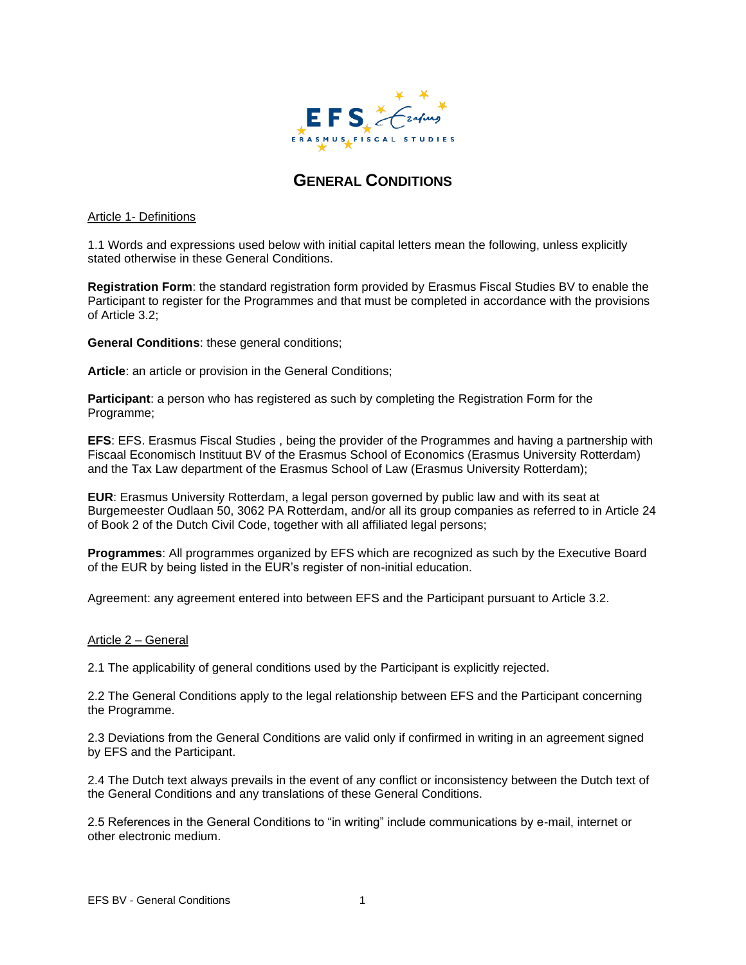

# **GENERAL CONDITIONS**

#### Article 1- Definitions

1.1 Words and expressions used below with initial capital letters mean the following, unless explicitly stated otherwise in these General Conditions.

**Registration Form**: the standard registration form provided by Erasmus Fiscal Studies BV to enable the Participant to register for the Programmes and that must be completed in accordance with the provisions of Article 3.2;

**General Conditions**: these general conditions;

**Article**: an article or provision in the General Conditions;

**Participant**: a person who has registered as such by completing the Registration Form for the Programme;

**EFS**: EFS. Erasmus Fiscal Studies , being the provider of the Programmes and having a partnership with Fiscaal Economisch Instituut BV of the Erasmus School of Economics (Erasmus University Rotterdam) and the Tax Law department of the Erasmus School of Law (Erasmus University Rotterdam);

**EUR**: Erasmus University Rotterdam, a legal person governed by public law and with its seat at Burgemeester Oudlaan 50, 3062 PA Rotterdam, and/or all its group companies as referred to in Article 24 of Book 2 of the Dutch Civil Code, together with all affiliated legal persons;

**Programmes**: All programmes organized by EFS which are recognized as such by the Executive Board of the EUR by being listed in the EUR's register of non-initial education.

Agreement: any agreement entered into between EFS and the Participant pursuant to Article 3.2.

# Article 2 – General

2.1 The applicability of general conditions used by the Participant is explicitly rejected.

2.2 The General Conditions apply to the legal relationship between EFS and the Participant concerning the Programme.

2.3 Deviations from the General Conditions are valid only if confirmed in writing in an agreement signed by EFS and the Participant.

2.4 The Dutch text always prevails in the event of any conflict or inconsistency between the Dutch text of the General Conditions and any translations of these General Conditions.

2.5 References in the General Conditions to "in writing" include communications by e-mail, internet or other electronic medium.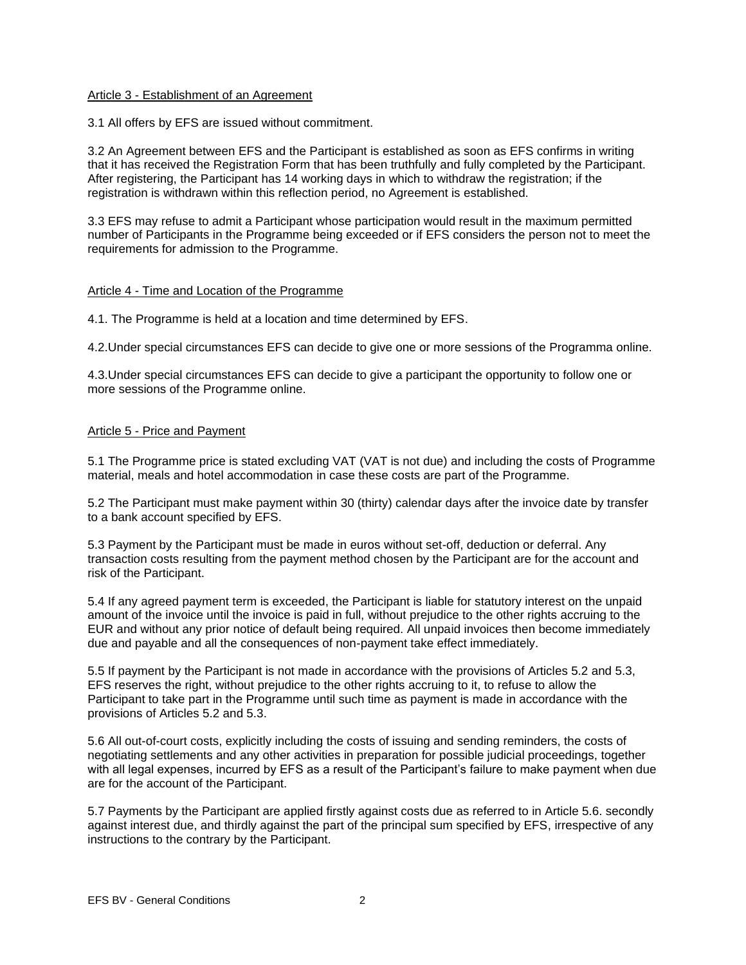#### Article 3 - Establishment of an Agreement

3.1 All offers by EFS are issued without commitment.

3.2 An Agreement between EFS and the Participant is established as soon as EFS confirms in writing that it has received the Registration Form that has been truthfully and fully completed by the Participant. After registering, the Participant has 14 working days in which to withdraw the registration; if the registration is withdrawn within this reflection period, no Agreement is established.

3.3 EFS may refuse to admit a Participant whose participation would result in the maximum permitted number of Participants in the Programme being exceeded or if EFS considers the person not to meet the requirements for admission to the Programme.

#### Article 4 - Time and Location of the Programme

4.1. The Programme is held at a location and time determined by EFS.

4.2.Under special circumstances EFS can decide to give one or more sessions of the Programma online.

4.3.Under special circumstances EFS can decide to give a participant the opportunity to follow one or more sessions of the Programme online.

#### Article 5 - Price and Payment

5.1 The Programme price is stated excluding VAT (VAT is not due) and including the costs of Programme material, meals and hotel accommodation in case these costs are part of the Programme.

5.2 The Participant must make payment within 30 (thirty) calendar days after the invoice date by transfer to a bank account specified by EFS.

5.3 Payment by the Participant must be made in euros without set-off, deduction or deferral. Any transaction costs resulting from the payment method chosen by the Participant are for the account and risk of the Participant.

5.4 If any agreed payment term is exceeded, the Participant is liable for statutory interest on the unpaid amount of the invoice until the invoice is paid in full, without prejudice to the other rights accruing to the EUR and without any prior notice of default being required. All unpaid invoices then become immediately due and payable and all the consequences of non-payment take effect immediately.

5.5 If payment by the Participant is not made in accordance with the provisions of Articles 5.2 and 5.3, EFS reserves the right, without prejudice to the other rights accruing to it, to refuse to allow the Participant to take part in the Programme until such time as payment is made in accordance with the provisions of Articles 5.2 and 5.3.

5.6 All out-of-court costs, explicitly including the costs of issuing and sending reminders, the costs of negotiating settlements and any other activities in preparation for possible judicial proceedings, together with all legal expenses, incurred by EFS as a result of the Participant's failure to make payment when due are for the account of the Participant.

5.7 Payments by the Participant are applied firstly against costs due as referred to in Article 5.6. secondly against interest due, and thirdly against the part of the principal sum specified by EFS, irrespective of any instructions to the contrary by the Participant.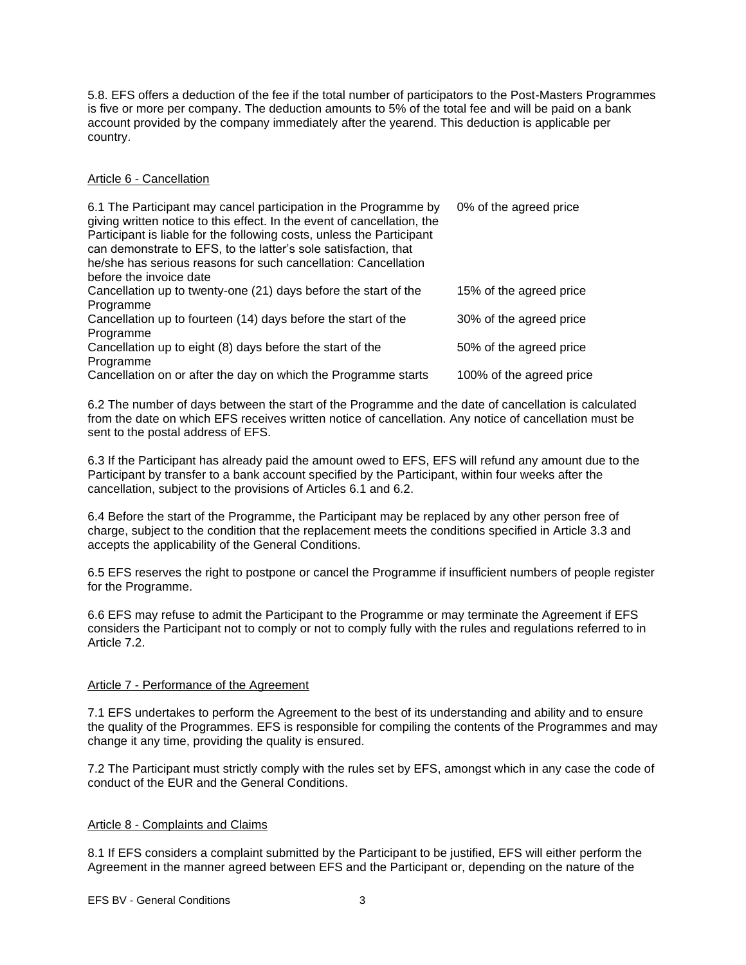5.8. EFS offers a deduction of the fee if the total number of participators to the Post-Masters Programmes is five or more per company. The deduction amounts to 5% of the total fee and will be paid on a bank account provided by the company immediately after the yearend. This deduction is applicable per country.

# Article 6 - Cancellation

| 6.1 The Participant may cancel participation in the Programme by<br>giving written notice to this effect. In the event of cancellation, the<br>Participant is liable for the following costs, unless the Participant<br>can demonstrate to EFS, to the latter's sole satisfaction, that<br>he/she has serious reasons for such cancellation: Cancellation<br>before the invoice date | 0% of the agreed price   |
|--------------------------------------------------------------------------------------------------------------------------------------------------------------------------------------------------------------------------------------------------------------------------------------------------------------------------------------------------------------------------------------|--------------------------|
| Cancellation up to twenty-one (21) days before the start of the<br>Programme                                                                                                                                                                                                                                                                                                         | 15% of the agreed price  |
| Cancellation up to fourteen (14) days before the start of the                                                                                                                                                                                                                                                                                                                        | 30% of the agreed price  |
| Programme<br>Cancellation up to eight (8) days before the start of the                                                                                                                                                                                                                                                                                                               | 50% of the agreed price  |
| Programme<br>Cancellation on or after the day on which the Programme starts                                                                                                                                                                                                                                                                                                          | 100% of the agreed price |

6.2 The number of days between the start of the Programme and the date of cancellation is calculated from the date on which EFS receives written notice of cancellation. Any notice of cancellation must be sent to the postal address of EFS.

6.3 If the Participant has already paid the amount owed to EFS, EFS will refund any amount due to the Participant by transfer to a bank account specified by the Participant, within four weeks after the cancellation, subject to the provisions of Articles 6.1 and 6.2.

6.4 Before the start of the Programme, the Participant may be replaced by any other person free of charge, subject to the condition that the replacement meets the conditions specified in Article 3.3 and accepts the applicability of the General Conditions.

6.5 EFS reserves the right to postpone or cancel the Programme if insufficient numbers of people register for the Programme.

6.6 EFS may refuse to admit the Participant to the Programme or may terminate the Agreement if EFS considers the Participant not to comply or not to comply fully with the rules and regulations referred to in Article 7.2.

# Article 7 - Performance of the Agreement

7.1 EFS undertakes to perform the Agreement to the best of its understanding and ability and to ensure the quality of the Programmes. EFS is responsible for compiling the contents of the Programmes and may change it any time, providing the quality is ensured.

7.2 The Participant must strictly comply with the rules set by EFS, amongst which in any case the code of conduct of the EUR and the General Conditions.

# Article 8 - Complaints and Claims

8.1 If EFS considers a complaint submitted by the Participant to be justified, EFS will either perform the Agreement in the manner agreed between EFS and the Participant or, depending on the nature of the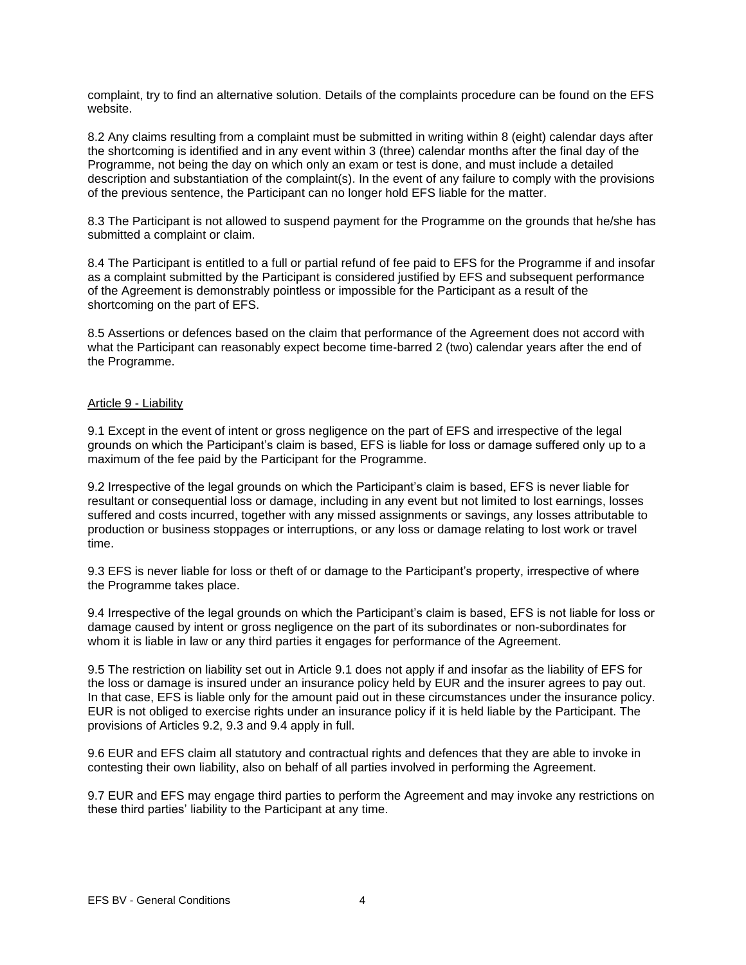complaint, try to find an alternative solution. Details of the complaints procedure can be found on the EFS website.

8.2 Any claims resulting from a complaint must be submitted in writing within 8 (eight) calendar days after the shortcoming is identified and in any event within 3 (three) calendar months after the final day of the Programme, not being the day on which only an exam or test is done, and must include a detailed description and substantiation of the complaint(s). In the event of any failure to comply with the provisions of the previous sentence, the Participant can no longer hold EFS liable for the matter.

8.3 The Participant is not allowed to suspend payment for the Programme on the grounds that he/she has submitted a complaint or claim.

8.4 The Participant is entitled to a full or partial refund of fee paid to EFS for the Programme if and insofar as a complaint submitted by the Participant is considered justified by EFS and subsequent performance of the Agreement is demonstrably pointless or impossible for the Participant as a result of the shortcoming on the part of EFS.

8.5 Assertions or defences based on the claim that performance of the Agreement does not accord with what the Participant can reasonably expect become time-barred 2 (two) calendar years after the end of the Programme.

#### Article 9 - Liability

9.1 Except in the event of intent or gross negligence on the part of EFS and irrespective of the legal grounds on which the Participant's claim is based, EFS is liable for loss or damage suffered only up to a maximum of the fee paid by the Participant for the Programme.

9.2 Irrespective of the legal grounds on which the Participant's claim is based, EFS is never liable for resultant or consequential loss or damage, including in any event but not limited to lost earnings, losses suffered and costs incurred, together with any missed assignments or savings, any losses attributable to production or business stoppages or interruptions, or any loss or damage relating to lost work or travel time.

9.3 EFS is never liable for loss or theft of or damage to the Participant's property, irrespective of where the Programme takes place.

9.4 Irrespective of the legal grounds on which the Participant's claim is based, EFS is not liable for loss or damage caused by intent or gross negligence on the part of its subordinates or non-subordinates for whom it is liable in law or any third parties it engages for performance of the Agreement.

9.5 The restriction on liability set out in Article 9.1 does not apply if and insofar as the liability of EFS for the loss or damage is insured under an insurance policy held by EUR and the insurer agrees to pay out. In that case, EFS is liable only for the amount paid out in these circumstances under the insurance policy. EUR is not obliged to exercise rights under an insurance policy if it is held liable by the Participant. The provisions of Articles 9.2, 9.3 and 9.4 apply in full.

9.6 EUR and EFS claim all statutory and contractual rights and defences that they are able to invoke in contesting their own liability, also on behalf of all parties involved in performing the Agreement.

9.7 EUR and EFS may engage third parties to perform the Agreement and may invoke any restrictions on these third parties' liability to the Participant at any time.